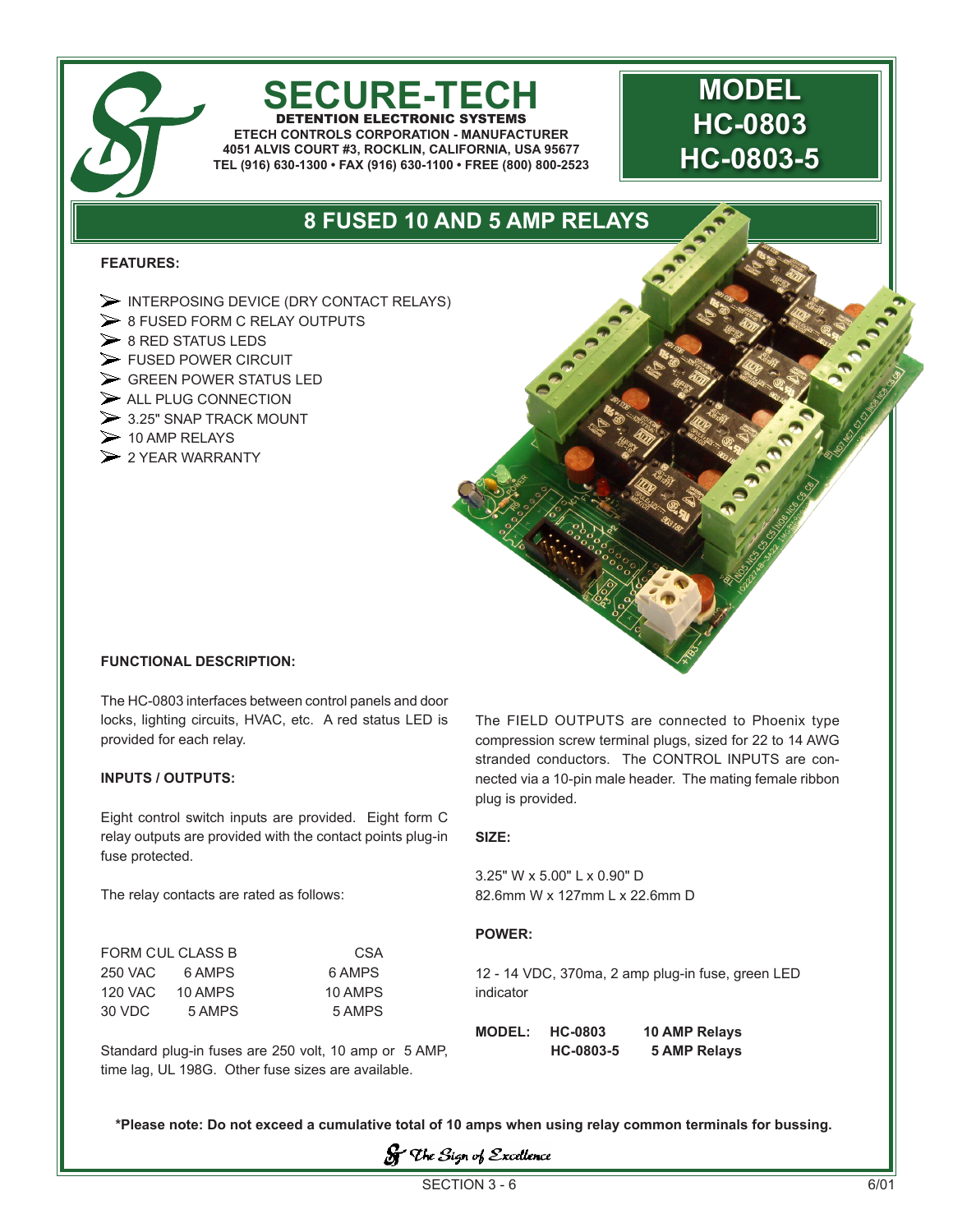# **SECURE-TECH**

DETENTION ELECTRONIC SYSTEMS **ETECH CONTROLS CORPORATION - MANUFACTURER 4051 ALVIS COURT #3, ROCKLIN, CALIFORNIA, USA 95677 TEL (916) 630-1300 • FAX (916) 630-1100 • FREE (800) 800-2523**

## **MODEL HC-0803 HC-0803-5**

### **8 FUSED 10 AND 5 AMP RELAYS**

#### **FEATURES:**

- $\triangleright$  INTERPOSING DEVICE (DRY CONTACT RELAYS)
- $\geq 8$  FUSED FORM C RELAY OUTPUTS
- $\geq 8$  RED STATUS LEDS
- FUSED POWER CIRCUIT
- $\triangleright$  GREEN POWER STATUS LED
- $\triangleright$  ALL PLUG CONNECTION
- $\geq$  3.25" SNAP TRACK MOUNT
- $\triangleright$  10 AMP RELAYS
- $\triangleright$  2 YEAR WARRANTY



#### **FUNCTIONAL DESCRIPTION:**

The HC-0803 interfaces between control panels and door locks, lighting circuits, HVAC, etc. A red status LED is provided for each relay.

#### **INPUTS / OUTPUTS:**

Eight control switch inputs are provided. Eight form C relay outputs are provided with the contact points plug-in fuse protected.

The relay contacts are rated as follows:

FORM CUL CLASS B CSA 250 VAC 6 AMPS 6 AMPS 120 VAC 10 AMPS 10 AMPS 30 VDC 5 AMPS 5 AMPS The FIELD OUTPUTS are connected to Phoenix type compression screw terminal plugs, sized for 22 to 14 AWG stranded conductors. The CONTROL INPUTS are connected via a 10-pin male header. The mating female ribbon plug is provided.

#### **SIZE:**

3.25" W x 5.00" L x 0.90" D 82.6mm W x 127mm L x 22.6mm D

#### **POWER:**

12 - 14 VDC, 370ma, 2 amp plug-in fuse, green LED indicator

|                                                       | $MODEL: HC-0803$ |           | - 10 AI |
|-------------------------------------------------------|------------------|-----------|---------|
| Standard plug-in fuses are 250 volt, 10 amp or 5 AMP. |                  | HC-0803-5 | - 5 Al  |
| time lag, UL 198G. Other fuse sizes are available.    |                  |           |         |

**MP Relays MP Relays** 

**\*Please note: Do not exceed a cumulative total of 10 amps when using relay common terminals for bussing.**

 $S$  The Sign of Excellence